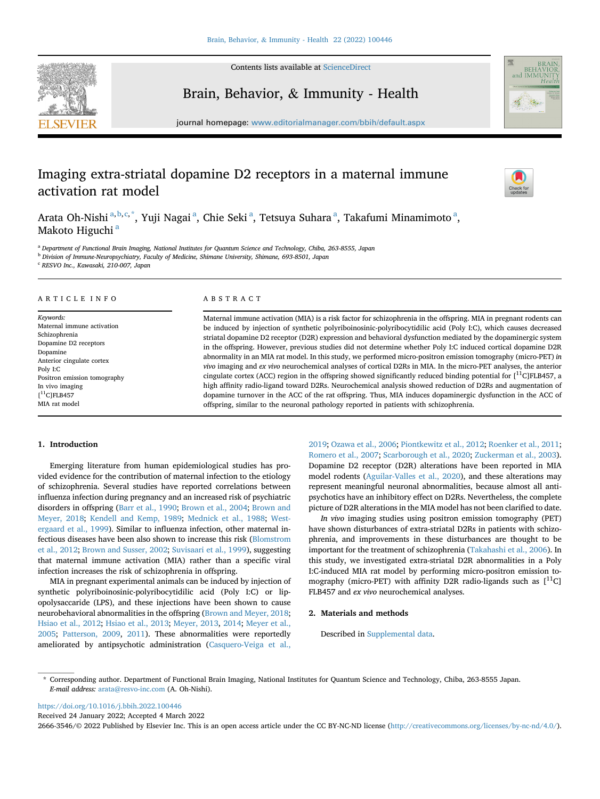

Contents lists available at [ScienceDirect](www.sciencedirect.com/science/journal/26663546)

# Brain, Behavior, & Immunity - Health



journal homepage: <www.editorialmanager.com/bbih/default.aspx>

# Imaging extra-striatal dopamine D2 receptors in a maternal immune activation rat model



Ar[a](#page-0-0)ta Oh-Nishi <sup>a,[b,](#page-0-1)[c](#page-0-2),[\\*](#page-0-3)</sup>, Yuji Nagai <sup>a</sup>, Chie Seki <sup>a</sup>, Tetsuya Suhara <sup>a</sup>, Takafumi Minamimoto <sup>a</sup>, M[a](#page-0-0)koto Higuchi<sup>a</sup>

<span id="page-0-0"></span><sup>a</sup> Department of Functional Brain Imaging, National Institutes for Quantum Science and Technology, Chiba, 263-8555, Japan

<span id="page-0-1"></span><sup>b</sup> Division of Immune-Neuropsychiatry, Faculty of Medicine, Shimane University, Shimane, 693-8501, Japan

<span id="page-0-2"></span><sup>c</sup> RESVO Inc., Kawasaki, 210-007, Japan

# ARTICLE INFO

Keywords: Maternal immune activation Schizophrenia Dopamine D2 receptors Dopamine Anterior cingulate cortex Poly I:C Positron emission tomography In vivo imaging  $\left[$ <sup>11</sup>C]FLB457 MIA rat model

# ABSTRACT

Maternal immune activation (MIA) is a risk factor for schizophrenia in the offspring. MIA in pregnant rodents can be induced by injection of synthetic polyriboinosinic-polyribocytidilic acid (Poly I:C), which causes decreased striatal dopamine D2 receptor (D2R) expression and behavioral dysfunction mediated by the dopaminergic system in the offspring. However, previous studies did not determine whether Poly I:C induced cortical dopamine D2R abnormality in an MIA rat model. In this study, we performed micro-positron emission tomography (micro-PET) in vivo imaging and ex vivo neurochemical analyses of cortical D2Rs in MIA. In the micro-PET analyses, the anterior cingulate cortex (ACC) region in the offspring showed significantly reduced binding potential for  $[^{11}C]FLB457$ , a high affinity radio-ligand toward D2Rs. Neurochemical analysis showed reduction of D2Rs and augmentation of dopamine turnover in the ACC of the rat offspring. Thus, MIA induces dopaminergic dysfunction in the ACC of offspring, similar to the neuronal pathology reported in patients with schizophrenia.

#### 1. Introduction

Emerging literature from human epidemiological studies has provided evidence for the contribution of maternal infection to the etiology of schizophrenia. Several studies have reported correlations between influenza infection during pregnancy and an increased risk of psychiatric disorders in offspring [\(Barr et al., 1990;](#page-3-0) [Brown et al., 2004;](#page-3-1) [Brown and](#page-3-2) [Meyer, 2018](#page-3-2); [Kendell and Kemp, 1989](#page-3-3); [Mednick et al., 1988](#page-3-4); [West](#page-3-5)[ergaard et al., 1999\)](#page-3-5). Similar to influenza infection, other maternal infectious diseases have been also shown to increase this risk ([Blomstrom](#page-3-6) [et al., 2012](#page-3-6); [Brown and Susser, 2002](#page-3-7); [Suvisaari et al., 1999\)](#page-3-8), suggesting that maternal immune activation (MIA) rather than a specific viral infection increases the risk of schizophrenia in offspring.

MIA in pregnant experimental animals can be induced by injection of synthetic polyriboinosinic-polyribocytidilic acid (Poly I:C) or lipopolysaccaride (LPS), and these injections have been shown to cause neurobehavioral abnormalities in the offspring [\(Brown and Meyer, 2018;](#page-3-2) [Hsiao et al., 2012](#page-3-9); [Hsiao et al., 2013;](#page-3-10) [Meyer, 2013,](#page-3-11) [2014;](#page-3-12) [Meyer et al.,](#page-3-13) [2005;](#page-3-13) [Patterson, 2009,](#page-3-14) [2011](#page-3-15)). These abnormalities were reportedly ameliorated by antipsychotic administration ([Casquero-Veiga et al.,](#page-3-16)

[2019;](#page-3-16) [Ozawa et al., 2006;](#page-3-17) [Piontkewitz et al., 2012;](#page-3-18) [Roenker et al., 2011;](#page-3-19) [Romero et al., 2007](#page-3-20); [Scarborough et al., 2020;](#page-3-21) [Zuckerman et al., 2003\)](#page-3-22). Dopamine D2 receptor (D2R) alterations have been reported in MIA model rodents ([Aguilar-Valles et al., 2020](#page-3-23)), and these alterations may represent meaningful neuronal abnormalities, because almost all antipsychotics have an inhibitory effect on D2Rs. Nevertheless, the complete picture of D2R alterations in the MIA model has not been clarified to date.

In vivo imaging studies using positron emission tomography (PET) have shown disturbances of extra-striatal D2Rs in patients with schizophrenia, and improvements in these disturbances are thought to be important for the treatment of schizophrenia ([Takahashi et al., 2006](#page-3-24)). In this study, we investigated extra-striatal D2R abnormalities in a Poly I:C-induced MIA rat model by performing micro-positron emission tomography (micro-PET) with affinity D2R radio-ligands such as  $[$ <sup>11</sup>C] FLB457 and ex vivo neurochemical analyses.

#### 2. Materials and methods

Described in Supplemental data.

<https://doi.org/10.1016/j.bbih.2022.100446>

Received 24 January 2022; Accepted 4 March 2022

<span id="page-0-3"></span><sup>\*</sup> Corresponding author. Department of Functional Brain Imaging, National Institutes for Quantum Science and Technology, Chiba, 263-8555 Japan. E-mail address: [arata@resvo-inc.com](mailto:arata@resvo-inc.com) (A. Oh-Nishi).

<sup>2666-3546/</sup>© 2022 Published by Elsevier Inc. This is an open access article under the CC BY-NC-ND license (<http://creativecommons.org/licenses/by-nc-nd/4.0/>).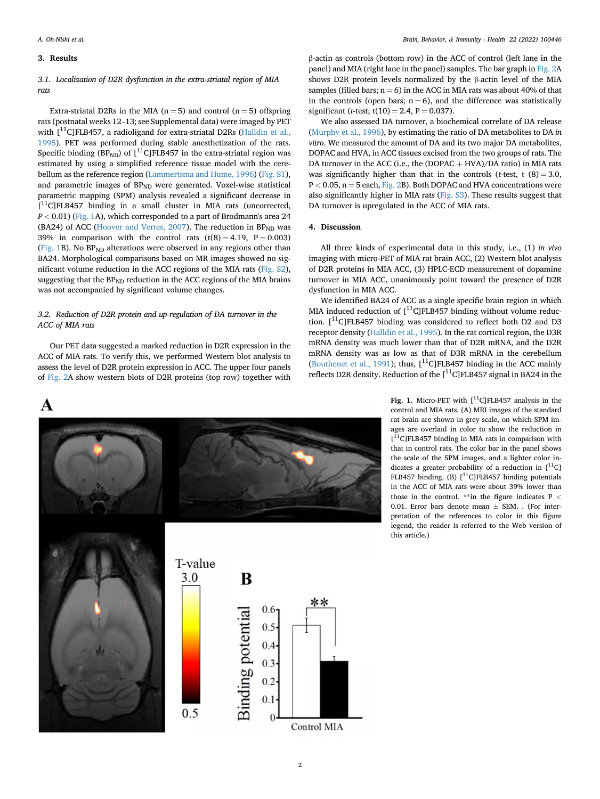#### 3. Results

# 3.1. Localization of D2R dysfunction in the extra-striatal region of MIA rats

rats<br>Extra-striatal D2Rs in the MIA (n = 5) and control (n = 5) offspring<br>rats (postnatal weeks 12–13; see Supplemental data) were imaged by PET with  $\int_0^{11}$ C]FLB457, a radioligand for extra-striatal D2Rs ([Halldin et al.,](#page-3-25) [1995\)](#page-3-25). PET was performed during stable anesthetization of the rats. Specific binding  $(BP_{ND})$  of  $[{}^{11}C]$ FLB457 in the extra-striatal region was estimated by using a simplified reference tissue model with the cerebellum as the reference region [\(Lammertsma and Hume, 1996](#page-3-26)) (Fig. S1), and parametric images of BP<sub>ND</sub> were generated. Voxel-wise statistical parametric mapping (SPM) analysis revealed a significant decrease in [<sup>11</sup>C]FLB457 binding in a small cluster in MIA rats (uncorrected,  $P < 0.01$ ) ([Fig. 1](#page-1-0)A), which corresponded to a part of Brodmann's area 24 (BA24) of ACC [\(Hoover and Vertes, 2007\)](#page-3-27). The reduction in  $BP<sub>ND</sub>$  was 39% in comparison with the control rats  $(t(8) = 4.19, P = 0.003)$ ([Fig. 1B](#page-1-0)). No  $BP_{ND}$  alterations were observed in any regions other than BA24. Morphological comparisons based on MR images showed no significant volume reduction in the ACC regions of the MIA rats (Fig. S2), suggesting that the  $BP_{ND}$  reduction in the ACC regions of the MIA brains was not accompanied by significant volume changes.

# 3.2. Reduction of D2R protein and up-regulation of DA turnover in the ACC of MIA rats

Our PET data suggested a marked reduction in D2R expression in the ACC of MIA rats. To verify this, we performed Western blot analysis to assess the level of D2R protein expression in ACC. The upper four panels of [Fig. 2](#page-2-0)A show western blots of D2R proteins (top row) together with

β-actin as controls (bottom row) in the ACC of control (left lane in the panel) and MIA (right lane in the panel) samples. The bar graph in [Fig. 2](#page-2-0)A shows D2R protein levels normalized by the β-actin level of the MIA samples (filled bars;  $n = 6$ ) in the ACC in MIA rats was about 40% of that in the controls (open bars;  $n = 6$ ), and the difference was statistically significant (t-test;  $t(10) = 2.4$ ,  $P = 0.037$ ).

We also assessed DA turnover, a biochemical correlate of DA release ([Murphy et al., 1996](#page-3-28)), by estimating the ratio of DA metabolites to DA in vitro. We measured the amount of DA and its two major DA metabolites, DOPAC and HVA, in ACC tissues excised from the two groups of rats. The DA turnover in the ACC (i.e., the (DOPAC  $+$  HVA)/DA ratio) in MIA rats was significantly higher than that in the controls (*t*-test, t  $(8) = 3.0$ ,  $P < 0.05$ ,  $n = 5$  each, [Fig. 2](#page-2-0)B). Both DOPAC and HVA concentrations were also significantly higher in MIA rats (Fig. S3). These results suggest that DA turnover is upregulated in the ACC of MIA rats.

## 4. Discussion

All three kinds of experimental data in this study, i.e., (1) in vivo imaging with micro-PET of MIA rat brain ACC, (2) Western blot analysis of D2R proteins in MIA ACC, (3) HPLC-ECD measurement of dopamine turnover in MIA ACC, unanimously point toward the presence of D2R dysfunction in MIA ACC.

We identified BA24 of ACC as a single specific brain region in which MIA induced reduction of  $[$ <sup>11</sup>C]FLB457 binding without volume reduction.  $[^{11}C]$ FLB457 binding was considered to reflect both D2 and D3 receptor density ([Halldin et al., 1995](#page-3-25)). In the rat cortical region, the D3R mRNA density was much lower than that of D2R mRNA, and the D2R mRNA density was as low as that of D3R mRNA in the cerebellum ([Bouthenet et al., 1991](#page-3-29)); thus,  $[$ <sup>11</sup>C]FLB457 binding in the ACC mainly reflects D2R density. Reduction of the  $[^{11}C]$ FLB457 signal in BA24 in the

<span id="page-1-0"></span>

Fig. 1. Micro-PET with  $[^{11}C]$ FLB457 analysis in the control and MIA rats. (A) MRI images of the standard rat brain are shown in grey scale, on which SPM images are overlaid in color to show the reduction in [ 11C]FLB457 binding in MIA rats in comparison with that in control rats. The color bar in the panel shows the scale of the SPM images, and a lighter color indicates a greater probability of a reduction in  $[^{11}C]$ FLB457 binding. (B) [<sup>11</sup>C]FLB457 binding potentials in the ACC of MIA rats were about 39% lower than those in the control. \*\*in the figure indicates  $P <$ 0.01. Error bars denote mean  $\pm$  SEM. . (For interpretation of the references to color in this figure legend, the reader is referred to the Web version of this article.)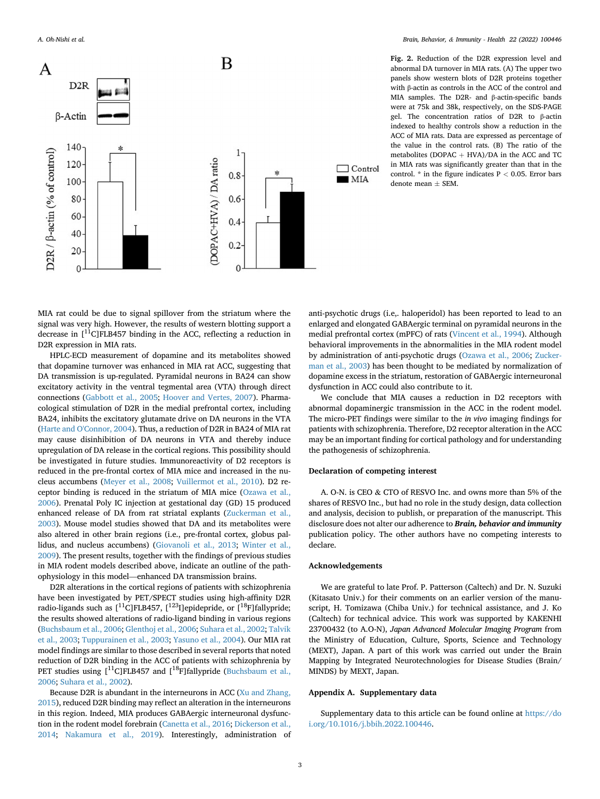

<span id="page-2-0"></span>A. Oh-Nishi et al. Brain, Behavior, & Immunity - Health 22 (2022) 100446

Fig. 2. Reduction of the D2R expression level and abnormal DA turnover in MIA rats. (A) The upper two panels show western blots of D2R proteins together with β-actin as controls in the ACC of the control and MIA samples. The D2R- and β-actin-specific bands were at 75k and 38k, respectively, on the SDS-PAGE gel. The concentration ratios of D2R to β-actin indexed to healthy controls show a reduction in the ACC of MIA rats. Data are expressed as percentage of the value in the control rats. (B) The ratio of the metabolites (DOPAC  $+$  HVA)/DA in the ACC and TC in MIA rats was significantly greater than that in the control.  $*$  in the figure indicates  $P < 0.05$ . Error bars denote mean  $\pm$  SEM.

MIA rat could be due to signal spillover from the striatum where the signal was very high. However, the results of western blotting support a decrease in [<sup>11</sup>C]FLB457 binding in the ACC, reflecting a reduction in D2R expression in MIA rats.

HPLC-ECD measurement of dopamine and its metabolites showed that dopamine turnover was enhanced in MIA rat ACC, suggesting that DA transmission is up-regulated. Pyramidal neurons in BA24 can show excitatory activity in the ventral tegmental area (VTA) through direct connections ([Gabbott et al., 2005;](#page-3-30) [Hoover and Vertes, 2007](#page-3-27)). Pharmacological stimulation of D2R in the medial prefrontal cortex, including BA24, inhibits the excitatory glutamate drive on DA neurons in the VTA ([Harte and O'Connor, 2004\)](#page-3-31). Thus, a reduction of D2R in BA24 of MIA rat may cause disinhibition of DA neurons in VTA and thereby induce upregulation of DA release in the cortical regions. This possibility should be investigated in future studies. Immunoreactivity of D2 receptors is reduced in the pre-frontal cortex of MIA mice and increased in the nucleus accumbens ([Meyer et al., 2008;](#page-3-32) [Vuillermot et al., 2010\)](#page-3-33). D2 receptor binding is reduced in the striatum of MIA mice [\(Ozawa et al.,](#page-3-17) [2006\)](#page-3-17). Prenatal Poly IC injection at gestational day (GD) 15 produced enhanced release of DA from rat striatal explants [\(Zuckerman et al.,](#page-3-22) [2003\)](#page-3-22). Mouse model studies showed that DA and its metabolites were also altered in other brain regions (i.e., pre-frontal cortex, globus pallidus, and nucleus accumbens) ([Giovanoli et al., 2013;](#page-3-34) [Winter et al.,](#page-3-35) [2009\)](#page-3-35). The present results, together with the findings of previous studies in MIA rodent models described above, indicate an outline of the pathophysiology in this model—enhanced DA transmission brains.

D2R alterations in the cortical regions of patients with schizophrenia have been investigated by PET/SPECT studies using high-affinity D2R radio-ligands such as  $[{}^{11}C]FLB457$ ,  $[{}^{123}I]$ epidepride, or  $[{}^{18}F]$ fallypride; the results showed alterations of radio-ligand binding in various regions ([Buchsbaum et al., 2006;](#page-3-36) [Glenthoj et al., 2006;](#page-3-37) [Suhara et al., 2002](#page-3-38); [Talvik](#page-3-39) [et al., 2003](#page-3-39); [Tuppurainen et al., 2003;](#page-3-40) [Yasuno et al., 2004](#page-3-41)). Our MIA rat model findings are similar to those described in several reports that noted reduction of D2R binding in the ACC of patients with schizophrenia by PET studies using  $\lceil {}^{11}C \rceil$ FLB457 and  $\lceil {}^{18}F \rceil$ fallypride [\(Buchsbaum et al.,](#page-3-36) [2006;](#page-3-36) [Suhara et al., 2002](#page-3-38)).

Because D2R is abundant in the interneurons in ACC [\(Xu and Zhang,](#page-3-42) [2015\)](#page-3-42), reduced D2R binding may reflect an alteration in the interneurons in this region. Indeed, MIA produces GABAergic interneuronal dysfunction in the rodent model forebrain [\(Canetta et al., 2016;](#page-3-43) [Dickerson et al.,](#page-3-44) [2014;](#page-3-44) [Nakamura et al., 2019\)](#page-3-45). Interestingly, administration of anti-psychotic drugs (i.e,. haloperidol) has been reported to lead to an enlarged and elongated GABAergic terminal on pyramidal neurons in the medial prefrontal cortex (mPFC) of rats [\(Vincent et al., 1994\)](#page-3-46). Although behavioral improvements in the abnormalities in the MIA rodent model by administration of anti-psychotic drugs ([Ozawa et al., 2006](#page-3-17); [Zucker](#page-3-22)[man et al., 2003](#page-3-22)) has been thought to be mediated by normalization of dopamine excess in the striatum, restoration of GABAergic interneuronal dysfunction in ACC could also contribute to it.

We conclude that MIA causes a reduction in D2 receptors with abnormal dopaminergic transmission in the ACC in the rodent model. The micro-PET findings were similar to the in vivo imaging findings for patients with schizophrenia. Therefore, D2 receptor alteration in the ACC may be an important finding for cortical pathology and for understanding the pathogenesis of schizophrenia.

### Declaration of competing interest

A. O-N. is CEO & CTO of RESVO Inc. and owns more than 5% of the shares of RESVO Inc., but had no role in the study design, data collection and analysis, decision to publish, or preparation of the manuscript. This disclosure does not alter our adherence to **Brain, behavior and immunity** publication policy. The other authors have no competing interests to declare.

#### Acknowledgements

We are grateful to late Prof. P. Patterson (Caltech) and Dr. N. Suzuki (Kitasato Univ.) for their comments on an earlier version of the manuscript, H. Tomizawa (Chiba Univ.) for technical assistance, and J. Ko (Caltech) for technical advice. This work was supported by KAKENHI 23700432 (to A.O-N), Japan Advanced Molecular Imaging Program from the Ministry of Education, Culture, Sports, Science and Technology (MEXT), Japan. A part of this work was carried out under the Brain Mapping by Integrated Neurotechnologies for Disease Studies (Brain/ MINDS) by MEXT, Japan.

## Appendix A. Supplementary data

Supplementary data to this article can be found online at [https://do](https://doi.org/10.1016/j.bbih.2022.100446) [i.org/10.1016/j.bbih.2022.100446.](https://doi.org/10.1016/j.bbih.2022.100446)